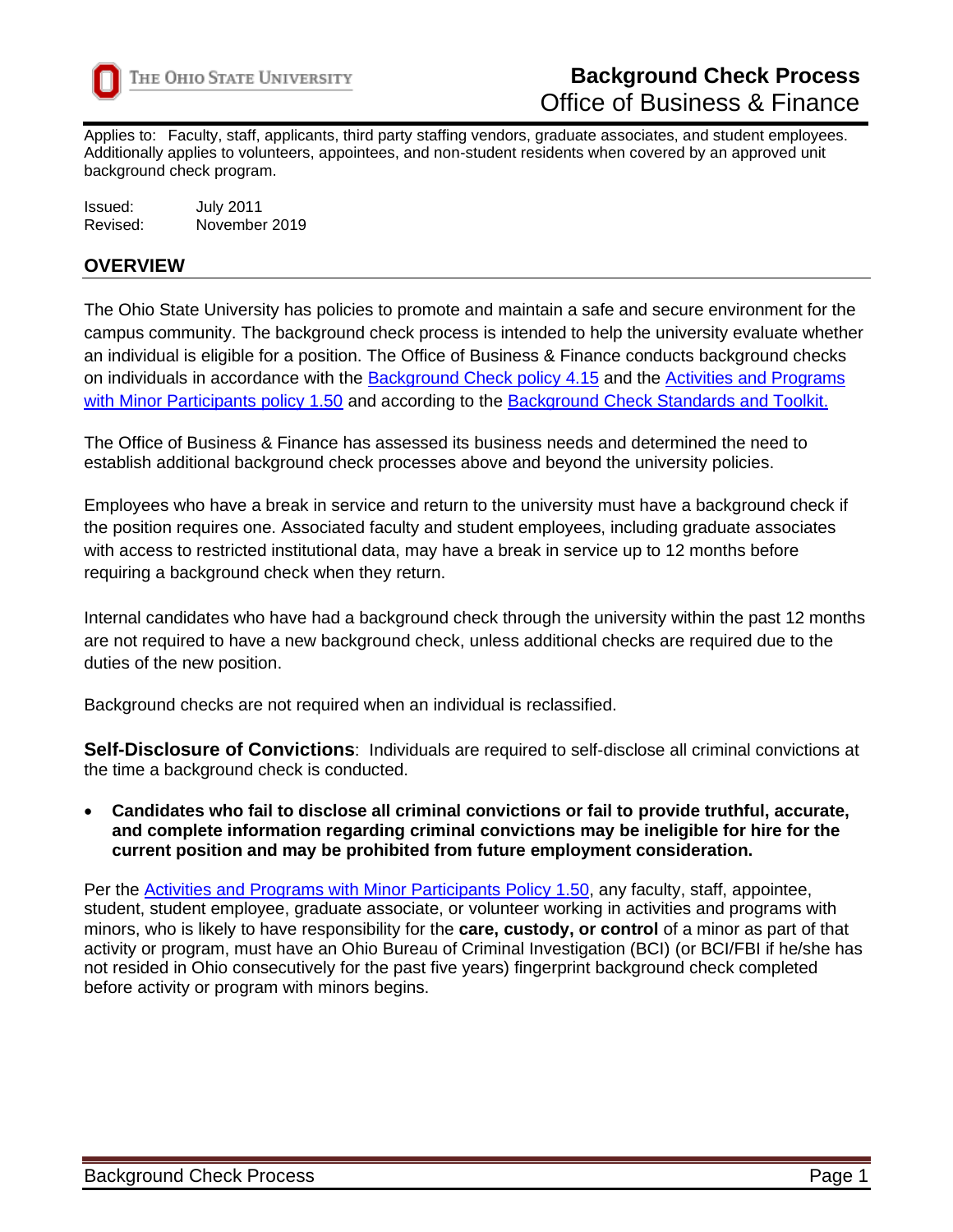

Applies to: Faculty, staff, applicants, third party staffing vendors, graduate associates, and student employees. Additionally applies to volunteers, appointees, and non-student residents when covered by an approved unit background check program.

| Issued:  | <b>July 2011</b> |
|----------|------------------|
| Revised: | November 2019    |

### **OVERVIEW**

The Ohio State University has policies to promote and maintain a safe and secure environment for the campus community. The background check process is intended to help the university evaluate whether an individual is eligible for a position. The Office of Business & Finance conducts background checks on individuals in accordance with the [Background Check policy 4.15](https://hr.osu.edu/wp-content/uploads/policy415.pdf) and the [Activities and Programs](https://policies.osu.edu/assets/docs/policy_pdfs/ActivitiesandProgramswithMinorParticipants_FINAL.pdf)  [with Minor Participants policy 1.50](https://policies.osu.edu/assets/docs/policy_pdfs/ActivitiesandProgramswithMinorParticipants_FINAL.pdf) and according to the [Background Check Standards and Toolkit.](https://hr.osu.edu/wp-content/uploads/policy415-standards.pdf)

The Office of Business & Finance has assessed its business needs and determined the need to establish additional background check processes above and beyond the university policies.

Employees who have a break in service and return to the university must have a background check if the position requires one. Associated faculty and student employees, including graduate associates with access to restricted institutional data, may have a break in service up to 12 months before requiring a background check when they return.

Internal candidates who have had a background check through the university within the past 12 months are not required to have a new background check, unless additional checks are required due to the duties of the new position.

Background checks are not required when an individual is reclassified.

**Self-Disclosure of Convictions**: Individuals are required to self-disclose all criminal convictions at the time a background check is conducted.

• **Candidates who fail to disclose all criminal convictions or fail to provide truthful, accurate, and complete information regarding criminal convictions may be ineligible for hire for the current position and may be prohibited from future employment consideration.**

Per the [Activities and Programs with Minor Participants Policy 1.50,](https://policies.osu.edu/assets/docs/policy_pdfs/ActivitiesandProgramswithMinorParticipants_FINAL.pdf) any faculty, staff, appointee, student, student employee, graduate associate, or volunteer working in activities and programs with minors, who is likely to have responsibility for the **care, custody, or control** of a minor as part of that activity or program, must have an Ohio Bureau of Criminal Investigation (BCI) (or BCI/FBI if he/she has not resided in Ohio consecutively for the past five years) fingerprint background check completed before activity or program with minors begins.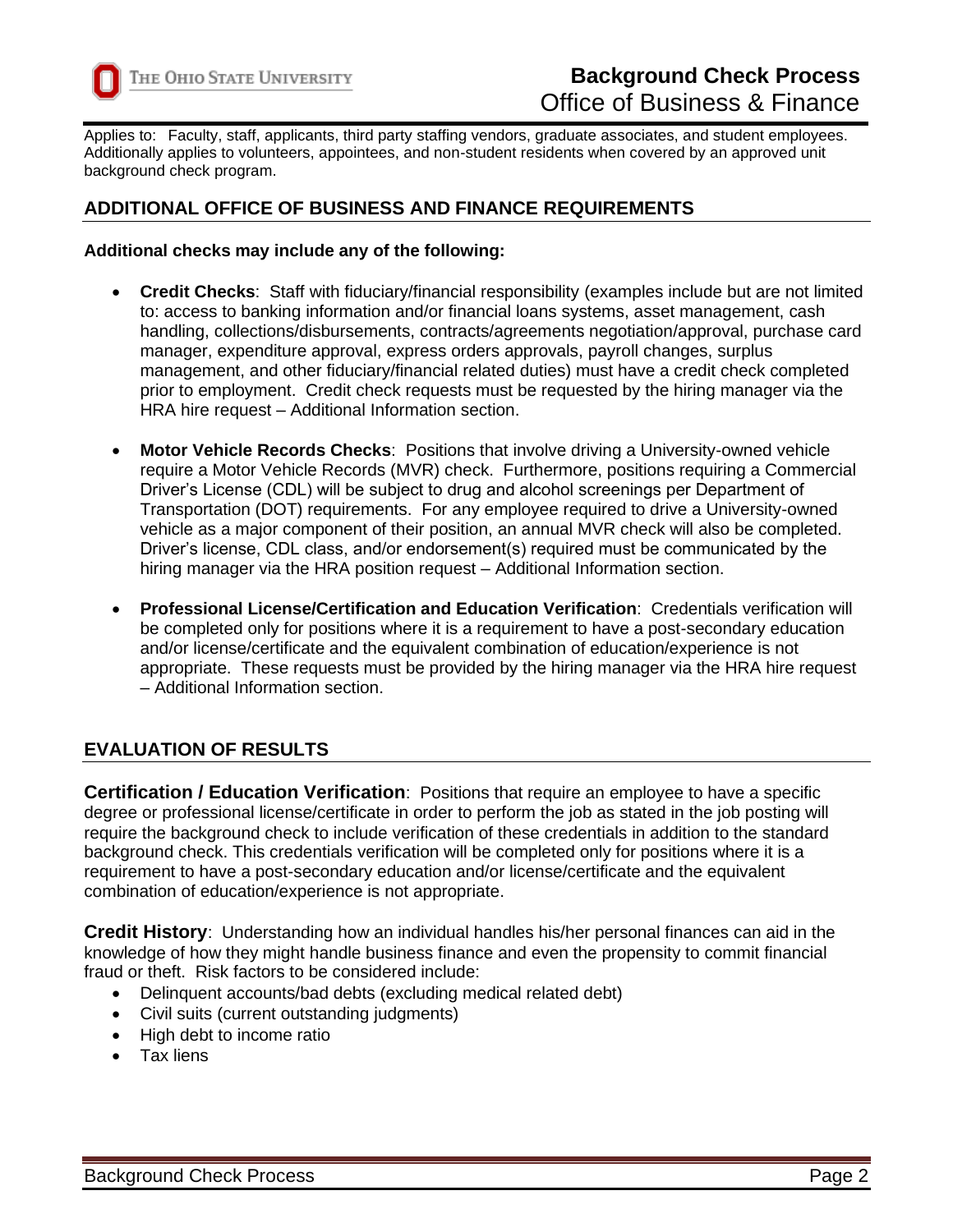

Applies to: Faculty, staff, applicants, third party staffing vendors, graduate associates, and student employees. Additionally applies to volunteers, appointees, and non-student residents when covered by an approved unit background check program.

# **ADDITIONAL OFFICE OF BUSINESS AND FINANCE REQUIREMENTS**

#### **Additional checks may include any of the following:**

- **Credit Checks**: Staff with fiduciary/financial responsibility (examples include but are not limited to: access to banking information and/or financial loans systems, asset management, cash handling, collections/disbursements, contracts/agreements negotiation/approval, purchase card manager, expenditure approval, express orders approvals, payroll changes, surplus management, and other fiduciary/financial related duties) must have a credit check completed prior to employment. Credit check requests must be requested by the hiring manager via the HRA hire request – Additional Information section.
- **Motor Vehicle Records Checks**: Positions that involve driving a University-owned vehicle require a Motor Vehicle Records (MVR) check. Furthermore, positions requiring a Commercial Driver's License (CDL) will be subject to drug and alcohol screenings per Department of Transportation (DOT) requirements. For any employee required to drive a University-owned vehicle as a major component of their position, an annual MVR check will also be completed. Driver's license, CDL class, and/or endorsement(s) required must be communicated by the hiring manager via the HRA position request – Additional Information section.
- **Professional License/Certification and Education Verification**: Credentials verification will be completed only for positions where it is a requirement to have a post-secondary education and/or license/certificate and the equivalent combination of education/experience is not appropriate. These requests must be provided by the hiring manager via the HRA hire request – Additional Information section.

# **EVALUATION OF RESULTS**

**Certification / Education Verification**: Positions that require an employee to have a specific degree or professional license/certificate in order to perform the job as stated in the job posting will require the background check to include verification of these credentials in addition to the standard background check. This credentials verification will be completed only for positions where it is a requirement to have a post-secondary education and/or license/certificate and the equivalent combination of education/experience is not appropriate.

**Credit History**: Understanding how an individual handles his/her personal finances can aid in the knowledge of how they might handle business finance and even the propensity to commit financial fraud or theft. Risk factors to be considered include:

- Delinquent accounts/bad debts (excluding medical related debt)
- Civil suits (current outstanding judgments)
- High debt to income ratio
- Tax liens